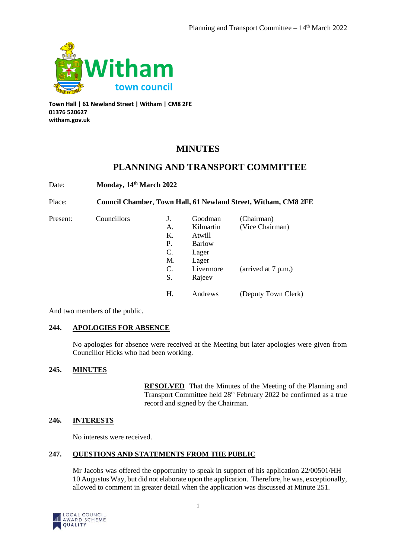

**Town Hall | 61 Newland Street | Witham | CM8 2FE 01376 520627 witham.gov.uk**

# **MINUTES**

# **PLANNING AND TRANSPORT COMMITTEE**

Date: **Monday, 14th March 2022**

Place: **Council Chamber**, **Town Hall, 61 Newland Street, Witham, CM8 2FE**

Present: Councillors

|    |               | (Chairman)          |
|----|---------------|---------------------|
| А. | Kilmartin     | (Vice Chairman)     |
| K. | Atwill        |                     |
| P. | <b>Barlow</b> |                     |
| C. | Lager         |                     |
| M. | Lager         |                     |
| C. | Livermore     | (arrived at 7 p.m.) |
| S. | Rajeev        |                     |
|    |               |                     |
| Н. | Andrews       | (Deputy Town Clerk) |
|    |               | Goodman             |

And two members of the public.

# **244. APOLOGIES FOR ABSENCE**

No apologies for absence were received at the Meeting but later apologies were given from Councillor Hicks who had been working.

# **245. MINUTES**

**RESOLVED** That the Minutes of the Meeting of the Planning and Transport Committee held 28<sup>th</sup> February 2022 be confirmed as a true record and signed by the Chairman.

# **246. INTERESTS**

No interests were received.

# **247. QUESTIONS AND STATEMENTS FROM THE PUBLIC**

Mr Jacobs was offered the opportunity to speak in support of his application 22/00501/HH – 10 Augustus Way, but did not elaborate upon the application. Therefore, he was, exceptionally, allowed to comment in greater detail when the application was discussed at Minute 251.

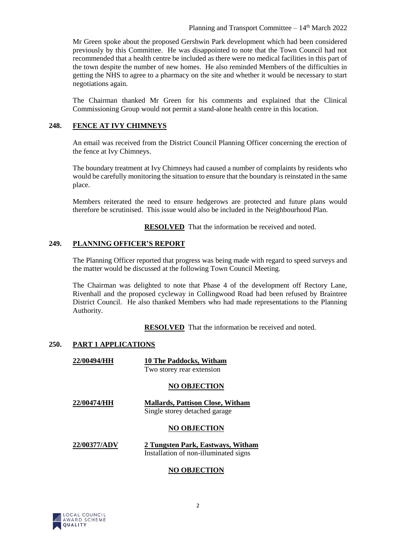Mr Green spoke about the proposed Gershwin Park development which had been considered previously by this Committee. He was disappointed to note that the Town Council had not recommended that a health centre be included as there were no medical facilities in this part of the town despite the number of new homes. He also reminded Members of the difficulties in getting the NHS to agree to a pharmacy on the site and whether it would be necessary to start negotiations again.

The Chairman thanked Mr Green for his comments and explained that the Clinical Commissioning Group would not permit a stand-alone health centre in this location.

# **248. FENCE AT IVY CHIMNEYS**

An email was received from the District Council Planning Officer concerning the erection of the fence at Ivy Chimneys.

The boundary treatment at Ivy Chimneys had caused a number of complaints by residents who would be carefully monitoring the situation to ensure that the boundary is reinstated in the same place.

Members reiterated the need to ensure hedgerows are protected and future plans would therefore be scrutinised. This issue would also be included in the Neighbourhood Plan.

**RESOLVED** That the information be received and noted.

# **249. PLANNING OFFICER'S REPORT**

The Planning Officer reported that progress was being made with regard to speed surveys and the matter would be discussed at the following Town Council Meeting.

The Chairman was delighted to note that Phase 4 of the development off Rectory Lane, Rivenhall and the proposed cycleway in Collingwood Road had been refused by Braintree District Council. He also thanked Members who had made representations to the Planning Authority.

**RESOLVED** That the information be received and noted.

# **250. PART 1 APPLICATIONS**

| 22/00494/HH | <b>10 The Paddocks, Witham</b> |  |
|-------------|--------------------------------|--|
|             | Two storey rear extension      |  |

### **NO OBJECTION**

**22/00474/HH Mallards, Pattison Close, Witham** Single storey detached garage

### **NO OBJECTION**

#### **22/00377/ADV 2 Tungsten Park, Eastways, Witham** Installation of non-illuminated signs

### **NO OBJECTION**